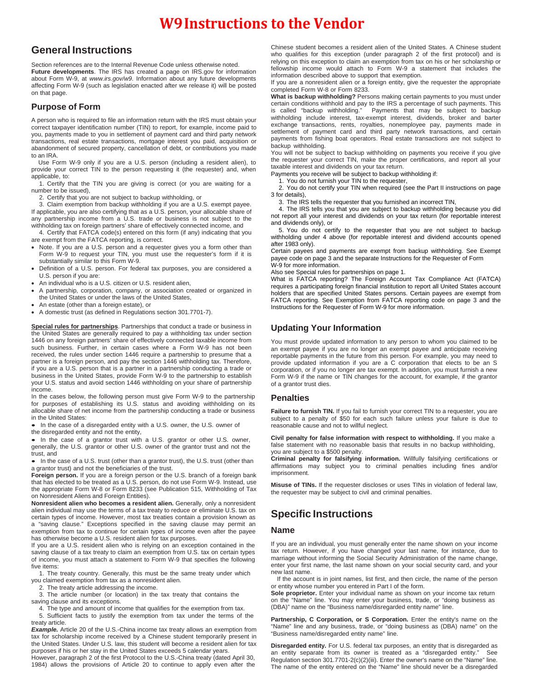# **W9Instructions to the Vendor**

### **General Instructions**

Section references are to the Internal Revenue Code unless otherwise noted. **Future developments**. The IRS has created a page on IRS.gov for information about Form W-9, at *www.irs.gov/w9*. Information about any future developments affecting Form W-9 (such as legislation enacted after we release it) will be posted on that page.

#### **Purpose of Form**

A person who is required to file an information return with the IRS must obtain your correct taxpayer identification number (TIN) to report, for example, income paid to you, payments made to you in settlement of payment card and third party network transactions, real estate transactions, mortgage interest you paid, acquisition or abandonment of secured property, cancellation of debt, or contributions you made to an IRA.

Use Form W-9 only if you are a U.S. person (including a resident alien), to provide your correct TIN to the person requesting it (the requester) and, when applicable, to:

1. Certify that the TIN you are giving is correct (or you are waiting for a number to be issued),

2. Certify that you are not subject to backup withholding, or

3. Claim exemption from backup withholding if you are a U.S. exempt payee. If applicable, you are also certifying that as a U.S. person, your allocable share of any partnership income from a U.S. trade or business is not subject to the withholding tax on foreign partners' share of effectively connected income, and

4. Certify that FATCA code(s) entered on this form (if any) indicating that you are exempt from the FATCA reporting, is correct.

- Note. If you are a U.S. person and a requester gives you a form other than Form W-9 to request your TIN, you must use the requester's form if it is substantially similar to this Form W-9.
- Definition of a U.S. person. For federal tax purposes, you are considered a U.S. person if you are:
- An individual who is a U.S. citizen or U.S. resident alien,
- A partnership, corporation, company, or association created or organized in the United States or under the laws of the United States,
- An estate (other than a foreign estate), or
- A domestic trust (as defined in Regulations section 301.7701-7).

**Special rules for partnerships**. Partnerships that conduct a trade or business in the United States are generally required to pay a withholding tax under section 1446 on any foreign partners' share of effectively connected taxable income from such business. Further, in certain cases where a Form W-9 has not been received, the rules under section 1446 require a partnership to presume that a partner is a foreign person, and pay the section 1446 withholding tax. Therefore, if you are a U.S. person that is a partner in a partnership conducting a trade or business in the United States, provide Form W-9 to the partnership to establish your U.S. status and avoid section 1446 withholding on your share of partnership income.

In the cases below, the following person must give Form W-9 to the partnership for purposes of establishing its U.S. status and avoiding withholding on its allocable share of net income from the partnership conducting a trade or business in the United States:

• In the case of a disregarded entity with a U.S. owner, the U.S. owner of the disregarded entity and not the entity,

• In the case of a grantor trust with a U.S. grantor or other U.S. owner, generally, the U.S. grantor or other U.S. owner of the grantor trust and not the trust, and

• In the case of a U.S. trust (other than a grantor trust), the U.S. trust (other than a grantor trust) and not the beneficiaries of the trust.

**Foreign person.** If you are a foreign person or the U.S. branch of a foreign bank that has elected to be treated as a U.S. person, do not use Form W-9. Instead, use the appropriate Form W-8 or Form 8233 (see Publication 515, Withholding of Tax on Nonresident Aliens and Foreign Entities).

**Nonresident alien who becomes a resident alien.** Generally, only a nonresident alien individual may use the terms of a tax treaty to reduce or eliminate U.S. tax on certain types of income. However, most tax treaties contain a provision known as a "saving clause." Exceptions specified in the saving clause may permit an exemption from tax to continue for certain types of income even after the payee has otherwise become a U.S. resident alien for tax purposes.

If you are a U.S. resident alien who is relying on an exception contained in the saving clause of a tax treaty to claim an exemption from U.S. tax on certain types of income, you must attach a statement to Form W-9 that specifies the following five items:

1. The treaty country. Generally, this must be the same treaty under which you claimed exemption from tax as a nonresident alien.

2. The treaty article addressing the income.

3. The article number (or location) in the tax treaty that contains the

saving clause and its exceptions.

4. The type and amount of income that qualifies for the exemption from tax. 5. Sufficient facts to justify the exemption from tax under the terms of the

treaty article. *Example.* Article 20 of the U.S.-China income tax treaty allows an exemption from tax for scholarship income received by a Chinese student temporarily present in the United States. Under U.S. law, this student will become a resident alien for tax purposes if his or her stay in the United States exceeds 5 calendar years.

However, paragraph 2 of the first Protocol to the U.S.-China treaty (dated April 30, 1984) allows the provisions of Article 20 to continue to apply even after the Chinese student becomes a resident alien of the United States. A Chinese student who qualifies for this exception (under paragraph 2 of the first protocol) and is relying on this exception to claim an exemption from tax on his or her scholarship or fellowship income would attach to Form W-9 a statement that includes the information described above to support that exemption.

If you are a nonresident alien or a foreign entity, give the requester the appropriate completed Form W-8 or Form 8233.

**What is backup withholding?** Persons making certain payments to you must under certain conditions withhold and pay to the IRS a percentage of such payments. This Payments that may be subject to backup withholding include interest, tax-exempt interest, dividends, broker and barter exchange transactions, rents, royalties, nonemployee pay, payments made in settlement of payment card and third party network transactions, and certain payments from fishing boat operators. Real estate transactions are not subject to backup withholding.

You will not be subject to backup withholding on payments you receive if you give the requester your correct TIN, make the proper certifications, and report all your taxable interest and dividends on your tax return.

Payments you receive will be subject to backup withholding if:

1. You do not furnish your TIN to the requester,

2. You do not certify your TIN when required (see the Part II instructions on page 3 for details),

3. The IRS tells the requester that you furnished an incorrect TIN,

4. The IRS tells you that you are subject to backup withholding because you did not report all your interest and dividends on your tax return (for reportable interest and dividends only), or

5. You do not certify to the requester that you are not subject to backup withholding under 4 above (for reportable interest and dividend accounts opened after 1983 only).

Certain payees and payments are exempt from backup withholding. See Exempt payee code on page 3 and the separate Instructions for the Requester of Form W-9 for more information.

Also see Special rules for partnerships on page 1.

What is FATCA reporting? The Foreign Account Tax Compliance Act (FATCA) requires a participating foreign financial institution to report all United States account holders that are specified United States persons. Certain payees are exempt from FATCA reporting. See Exemption from FATCA reporting code on page 3 and the Instructions for the Requester of Form W-9 for more information.

#### **Updating Your Information**

You must provide updated information to any person to whom you claimed to be an exempt payee if you are no longer an exempt payee and anticipate receiving reportable payments in the future from this person. For example, you may need to provide updated information if you are a C corporation that elects to be an S corporation, or if you no longer are tax exempt. In addition, you must furnish a new Form W-9 if the name or TIN changes for the account, for example, if the grantor of a grantor trust dies.

#### **Penalties**

Failure to furnish TIN. If you fail to furnish your correct TIN to a requester, you are subject to a penalty of \$50 for each such failure unless your failure is due to reasonable cause and not to willful neglect.

**Civil penalty for false information with respect to withholding.** If you make a false statement with no reasonable basis that results in no backup withholding, you are subject to a \$500 penalty.

**Criminal penalty for falsifying information.** Willfully falsifying certifications or affirmations may subject you to criminal penalties including fines and/or imprisonment.

**Misuse of TINs.** If the requester discloses or uses TINs in violation of federal law, the requester may be subject to civil and criminal penalties.

## **Specific Instructions**

#### **Name**

If you are an individual, you must generally enter the name shown on your income tax return. However, if you have changed your last name, for instance, due to marriage without informing the Social Security Administration of the name change, enter your first name, the last name shown on your social security card, and your new last name.

If the account is in joint names, list first, and then circle, the name of the person or entity whose number you entered in Part I of the form.

Sole proprietor. Enter your individual name as shown on your income tax return on the "Name" line. You may enter your business, trade, or "doing business as (DBA)" name on the "Business name/disregarded entity name" line.

Partnership, C Corporation, or S Corporation. Enter the entity's name on the "Name" line and any business, trade, or "doing business as (DBA) name" on the "Business name/disregarded entity name" line.

**Disregarded entity.** For U.S. federal tax purposes, an entity that is disregarded as an entity separate from its owner is treated as a "disregarded entity." See Regulation section 301.7701-2(c)(2)(iii). Enter the owner's name on the "Name" line. The name of the entity entered on the "Name" line should never be a disregarded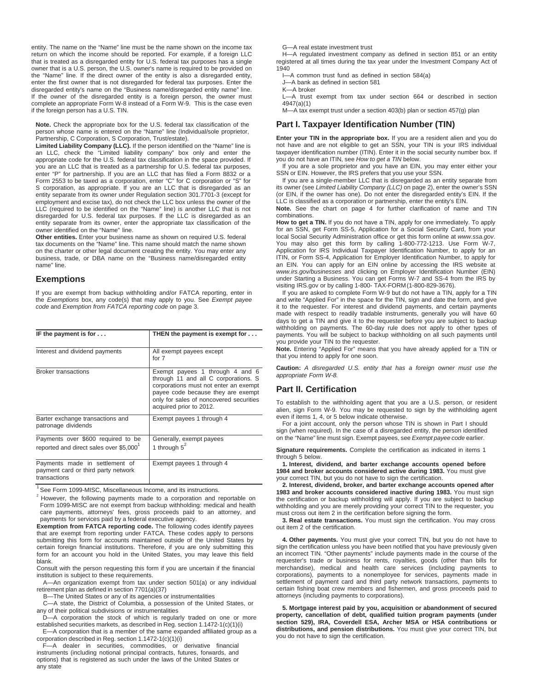entity. The name on the "Name" line must be the name shown on the income tax return on which the income should be reported. For example, if a foreign LLC that is treated as a disregarded entity for U.S. federal tax purposes has a single owner that is a U.S. person, the U.S. owner's name is required to be provided on the "Name" line. If the direct owner of the entity is also a disregarded entity, enter the first owner that is not disregarded for federal tax purposes. Enter the disregarded entity's name on the "Business name/disregarded entity name" line. If the owner of the disregarded entity is a foreign person, the owner must complete an appropriate Form W-8 instead of a Form W-9. This is the case even if the foreign person has a U.S. TIN.

**Note.** Check the appropriate box for the U.S. federal tax classification of the person whose name is entered on the "Name" line (Individual/sole proprietor, Partnership, C Corporation, S Corporation, Trust/estate).

**Limited Liability Company (LLC).** If the person identified on the "Name" line is an LLC, check the "Limited liability company" box only and enter the appropriate code for the U.S. federal tax classification in the space provided. If you are an LLC that is treated as a partnership for U.S. federal tax purposes, enter "P" for partnership. If you are an LLC that has filed a Form 8832 or a Form 2553 to be taxed as a corporation, enter "C" for C corporation or "S" for S corporation, as appropriate. If you are an LLC that is disregarded as an entity separate from its owner under Regulation section 301.7701-3 (except for employment and excise tax), do not check the LLC box unless the owner of the LLC (required to be identified on the "Name" line) is another LLC that is not disregarded for U.S. federal tax purposes. If the LLC is disregarded as an entity separate from its owner, enter the appropriate tax classification of the owner identified on the "Name" line.

**Other entities.** Enter your business name as shown on required U.S. federal tax documents on the "Name" line. This name should match the name shown on the charter or other legal document creating the entity. You may enter any business, trade, or DBA name on the "Business name/disregarded entity name" line.

#### **Exemptions**

If you are exempt from backup withholding and/or FATCA reporting, enter in the *Exemptions* box, any code(s) that may apply to you. See *Exempt payee code* and *Exemption from FATCA reporting code* on page 3.

| IF the payment is for $\dots$                                                             | THEN the payment is exempt for $\dots$                                                                                                                                                                                       |
|-------------------------------------------------------------------------------------------|------------------------------------------------------------------------------------------------------------------------------------------------------------------------------------------------------------------------------|
| Interest and dividend payments                                                            | All exempt payees except<br>for $7$                                                                                                                                                                                          |
| <b>Broker transactions</b>                                                                | Exempt payees 1 through 4 and 6<br>through 11 and all C corporations. S<br>corporations must not enter an exempt<br>payee code because they are exempt<br>only for sales of noncovered securities<br>acquired prior to 2012. |
| Barter exchange transactions and<br>patronage dividends                                   | Exempt payees 1 through 4                                                                                                                                                                                                    |
| Payments over \$600 required to be<br>reported and direct sales over \$5,000 <sup>1</sup> | Generally, exempt payees<br>1 through $5^2$                                                                                                                                                                                  |
| Payments made in settlement of<br>payment card or third party network<br>transactions     | Exempt payees 1 through 4                                                                                                                                                                                                    |

<sup>1</sup> See Form 1099-MISC, Miscellaneous Income, and its instructions.

However, the following payments made to a corporation and reportable on Form 1099-MISC are not exempt from backup withholding: medical and health care payments, attorneys' fees, gross proceeds paid to an attorney, and payments for services paid by a federal executive agency.

**Exemption from FATCA reporting code.** The following codes identify payees that are exempt from reporting under FATCA. These codes apply to persons submitting this form for accounts maintained outside of the United States by certain foreign financial institutions. Therefore, if you are only submitting this form for an account you hold in the United States, you may leave this field blank.

Consult with the person requesting this form if you are uncertain if the financial institution is subject to these requirements.

A—An organization exempt from tax under section 501(a) or any individual retirement plan as defined in section 7701(a)(37)

B—The United States or any of its agencies or instrumentalities

C—A state, the District of Columbia, a possession of the United States, or any of their political subdivisions or instrumentalities

D—A corporation the stock of which is regularly traded on one or more established securities markets, as described in Reg. section 1.1472-1(c)(1)(i)

E—A corporation that is a member of the same expanded affiliated group as a corporation described in Reg. section 1.1472-1(c)(1)(i)

F—A dealer in securities, commodities, or derivative financial instruments (including notional principal contracts, futures, forwards, and options) that is registered as such under the laws of the United States or any state

G—A real estate investment trust

H—A regulated investment company as defined in section 851 or an entity registered at all times during the tax year under the Investment Company Act of 1940

I—A common trust fund as defined in section 584(a)

J—A bank as defined in section 581

K—A broker

L—A trust exempt from tax under section 664 or described in section 4947(a)(1)

M—A tax exempt trust under a section 403(b) plan or section 457(g) plan

#### **Part I. Taxpayer Identification Number (TIN)**

**Enter your TIN in the appropriate box.** If you are a resident alien and you do not have and are not eligible to get an SSN, your TIN is your IRS individual taxpayer identification number (ITIN). Enter it in the social security number box. If you do not have an ITIN, see *How to get a TIN* below.

If you are a sole proprietor and you have an EIN, you may enter either your SSN or EIN. However, the IRS prefers that you use your SSN.

If you are a single-member LLC that is disregarded as an entity separate from its owner (see *Limited Liability Company (LLC)* on page 2), enter the owner's SSN (or EIN, if the owner has one). Do not enter the disregarded entity's EIN. If the LLC is classified as a corporation or partnership, enter the entity's EIN.

**Note.** See the chart on page 4 for further clarification of name and TIN combinations.

**How to get a TIN.** If you do not have a TIN, apply for one immediately. To apply for an SSN, get Form SS-5, Application for a Social Security Card, from your local Social Security Administration office or get this form online at *www.ssa.gov*. You may also get this form by calling 1-800-772-1213. Use Form W-7, Application for IRS Individual Taxpayer Identification Number, to apply for an ITIN, or Form SS-4, Application for Employer Identification Number, to apply for an EIN. You can apply for an EIN online by accessing the IRS website at *www.irs.gov/businesses* and clicking on Employer Identification Number (EIN) under Starting a Business. You can get Forms W-7 and SS-4 from the IRS by visiting IRS.gov or by calling 1-800- TAX-FORM (1-800-829-3676).

If you are asked to complete Form W-9 but do not have a TIN, apply for a TIN and write "Applied For" in the space for the TIN, sign and date the form, and give it to the requester. For interest and dividend payments, and certain payments made with respect to readily tradable instruments, generally you will have 60 days to get a TIN and give it to the requester before you are subject to backup withholding on payments. The 60-day rule does not apply to other types of payments. You will be subject to backup withholding on all such payments until you provide your TIN to the requester.

**Note.** Entering "Applied For" means that you have already applied for a TIN or that you intend to apply for one soon.

**Caution:** *A disregarded U.S. entity that has a foreign owner must use the appropriate Form W-8.*

#### **Part II. Certification**

To establish to the withholding agent that you are a U.S. person, or resident alien, sign Form W-9. You may be requested to sign by the withholding agent even if items 1, 4, or 5 below indicate otherwise.

For a joint account, only the person whose TIN is shown in Part I should sign (when required). In the case of a disregarded entity, the person identified on the "Name" line must sign. Exempt payees, see *Exempt payee code* earlier.

**Signature requirements.** Complete the certification as indicated in items 1 through 5 below.

**1. Interest, dividend, and barter exchange accounts opened before 1984 and broker accounts considered active during 1983.** You must give your correct TIN, but you do not have to sign the certification.

**2. Interest, dividend, broker, and barter exchange accounts opened after 1983 and broker accounts considered inactive during 1983.** You must sign the certification or backup withholding will apply. If you are subject to backup withholding and you are merely providing your correct TIN to the requester, you must cross out item 2 in the certification before signing the form.

**3. Real estate transactions.** You must sign the certification. You may cross out item 2 of the certification.

**4. Other payments.** You must give your correct TIN, but you do not have to sign the certification unless you have been notified that you have previously given an incorrect TIN. "Other payments" include payments made in the course of the requester's trade or business for rents, royalties, goods (other than bills for merchandise), medical and health care services (including payments to corporations), payments to a nonemployee for services, payments made in settlement of payment card and third party network transactions, payments to certain fishing boat crew members and fishermen, and gross proceeds paid to attorneys (including payments to corporations).

**5. Mortgage interest paid by you, acquisition or abandonment of secured property, cancellation of debt, qualified tuition program payments (under section 529), IRA, Coverdell ESA, Archer MSA or HSA contributions or distributions, and pension distributions.** You must give your correct TIN, but you do not have to sign the certification.